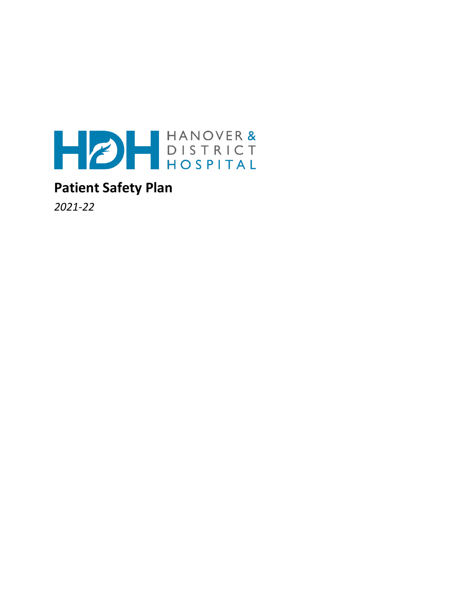

# **Patient Safety Plan**

*2021-22*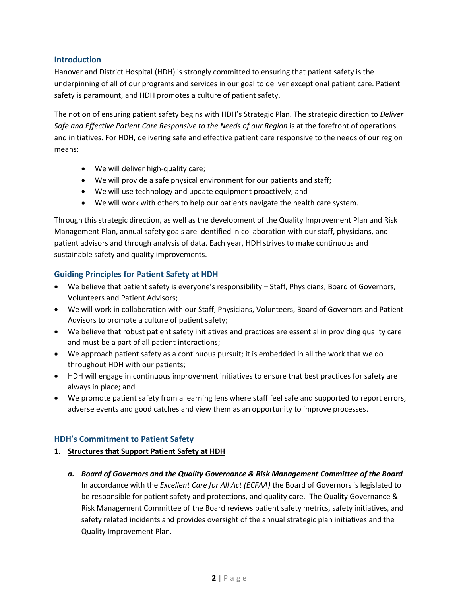# **Introduction**

Hanover and District Hospital (HDH) is strongly committed to ensuring that patient safety is the underpinning of all of our programs and services in our goal to deliver exceptional patient care. Patient safety is paramount, and HDH promotes a culture of patient safety.

The notion of ensuring patient safety begins with HDH's Strategic Plan. The strategic direction to *Deliver Safe and Effective Patient Care Responsive to the Needs of our Region* is at the forefront of operations and initiatives. For HDH, delivering safe and effective patient care responsive to the needs of our region means:

- We will deliver high-quality care;
- We will provide a safe physical environment for our patients and staff;
- We will use technology and update equipment proactively; and
- We will work with others to help our patients navigate the health care system.

Through this strategic direction, as well as the development of the Quality Improvement Plan and Risk Management Plan, annual safety goals are identified in collaboration with our staff, physicians, and patient advisors and through analysis of data. Each year, HDH strives to make continuous and sustainable safety and quality improvements.

# **Guiding Principles for Patient Safety at HDH**

- We believe that patient safety is everyone's responsibility Staff, Physicians, Board of Governors, Volunteers and Patient Advisors;
- We will work in collaboration with our Staff, Physicians, Volunteers, Board of Governors and Patient Advisors to promote a culture of patient safety;
- We believe that robust patient safety initiatives and practices are essential in providing quality care and must be a part of all patient interactions;
- We approach patient safety as a continuous pursuit; it is embedded in all the work that we do throughout HDH with our patients;
- HDH will engage in continuous improvement initiatives to ensure that best practices for safety are always in place; and
- We promote patient safety from a learning lens where staff feel safe and supported to report errors, adverse events and good catches and view them as an opportunity to improve processes.

# **HDH's Commitment to Patient Safety**

#### **1. Structures that Support Patient Safety at HDH**

*a. Board of Governors and the Quality Governance & Risk Management Committee of the Board* In accordance with the *Excellent Care for All Act (ECFAA)* the Board of Governors is legislated to be responsible for patient safety and protections, and quality care. The Quality Governance & Risk Management Committee of the Board reviews patient safety metrics, safety initiatives, and safety related incidents and provides oversight of the annual strategic plan initiatives and the Quality Improvement Plan.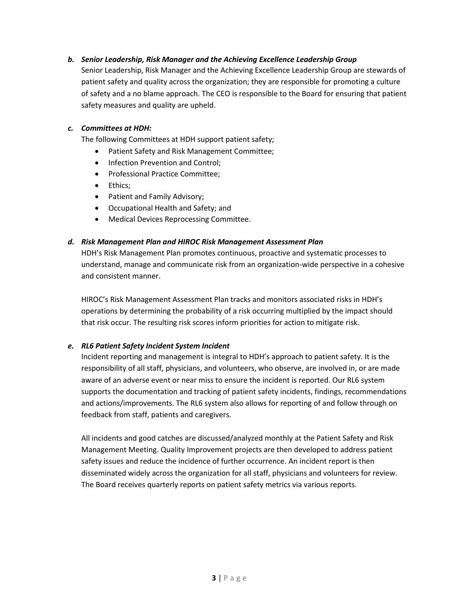# *b. Senior Leadership, Risk Manager and the Achieving Excellence Leadership Group*

Senior Leadership, Risk Manager and the Achieving Excellence Leadership Group are stewards of patient safety and quality across the organization; they are responsible for promoting a culture of safety and a no blame approach. The CEO is responsible to the Board for ensuring that patient safety measures and quality are upheld.

#### *c. Committees at HDH:*

The following Committees at HDH support patient safety;

- Patient Safety and Risk Management Committee;
- Infection Prevention and Control:
- Professional Practice Committee;
- Ethics:
- Patient and Family Advisory;
- Occupational Health and Safety; and
- Medical Devices Reprocessing Committee.

#### *d. Risk Management Plan and HIROC Risk Management Assessment Plan*

HDH's Risk Management Plan promotes continuous, proactive and systematic processes to understand, manage and communicate risk from an organization-wide perspective in a cohesive and consistent manner.

HIROC's Risk Management Assessment Plan tracks and monitors associated risks in HDH's operations by determining the probability of a risk occurring multiplied by the impact should that risk occur. The resulting risk scores inform priorities for action to mitigate risk.

#### *e. RL6 Patient Safety Incident System Incident*

Incident reporting and management is integral to HDH's approach to patient safety. It is the responsibility of all staff, physicians, and volunteers, who observe, are involved in, or are made aware of an adverse event or near miss to ensure the incident is reported. Our RL6 system supports the documentation and tracking of patient safety incidents, findings, recommendations and actions/improvements. The RL6 system also allows for reporting of and follow through on feedback from staff, patients and caregivers.

All incidents and good catches are discussed/analyzed monthly at the Patient Safety and Risk Management Meeting. Quality Improvement projects are then developed to address patient safety issues and reduce the incidence of further occurrence. An incident report is then disseminated widely across the organization for all staff, physicians and volunteers for review. The Board receives quarterly reports on patient safety metrics via various reports.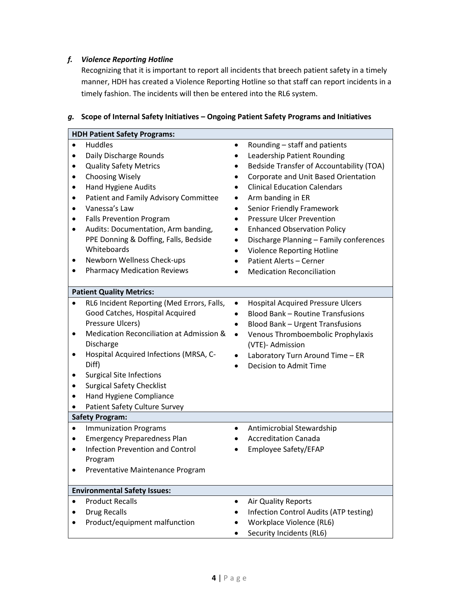# *f. Violence Reporting Hotline*

Recognizing that it is important to report all incidents that breech patient safety in a timely manner, HDH has created a Violence Reporting Hotline so that staff can report incidents in a timely fashion. The incidents will then be entered into the RL6 system.

| <b>HDH Patient Safety Programs:</b>                                                                                                                                                                                                                                                                                                                                                                                                                       |                                                                                                                                                                                                                                                                                                                                                                                                                                                                                               |
|-----------------------------------------------------------------------------------------------------------------------------------------------------------------------------------------------------------------------------------------------------------------------------------------------------------------------------------------------------------------------------------------------------------------------------------------------------------|-----------------------------------------------------------------------------------------------------------------------------------------------------------------------------------------------------------------------------------------------------------------------------------------------------------------------------------------------------------------------------------------------------------------------------------------------------------------------------------------------|
| <b>Huddles</b><br>$\bullet$<br>Daily Discharge Rounds<br>٠<br><b>Quality Safety Metrics</b><br>٠<br><b>Choosing Wisely</b><br>٠<br>Hand Hygiene Audits<br>٠<br>Patient and Family Advisory Committee<br>٠<br>Vanessa's Law<br>٠<br><b>Falls Prevention Program</b><br>٠<br>Audits: Documentation, Arm banding,<br>٠<br>PPE Donning & Doffing, Falls, Bedside<br>Whiteboards<br>Newborn Wellness Check-ups<br>٠<br><b>Pharmacy Medication Reviews</b><br>٠ | Rounding - staff and patients<br>$\bullet$<br>Leadership Patient Rounding<br><b>Bedside Transfer of Accountability (TOA)</b><br>Corporate and Unit Based Orientation<br><b>Clinical Education Calendars</b><br>Arm banding in ER<br>Senior Friendly Framework<br><b>Pressure Ulcer Prevention</b><br><b>Enhanced Observation Policy</b><br>Discharge Planning - Family conferences<br><b>Violence Reporting Hotline</b><br><b>Patient Alerts - Cerner</b><br><b>Medication Reconciliation</b> |
| <b>Patient Quality Metrics:</b>                                                                                                                                                                                                                                                                                                                                                                                                                           |                                                                                                                                                                                                                                                                                                                                                                                                                                                                                               |
| RL6 Incident Reporting (Med Errors, Falls,<br>٠<br>Good Catches, Hospital Acquired<br>Pressure Ulcers)<br>Medication Reconciliation at Admission &<br>٠<br>Discharge<br>Hospital Acquired Infections (MRSA, C-<br>٠<br>Diff)<br><b>Surgical Site Infections</b><br>٠<br><b>Surgical Safety Checklist</b><br>٠<br>Hand Hygiene Compliance<br>٠<br>Patient Safety Culture Survey                                                                            | <b>Hospital Acquired Pressure Ulcers</b><br>$\bullet$<br><b>Blood Bank - Routine Transfusions</b><br>$\bullet$<br><b>Blood Bank - Urgent Transfusions</b><br>Venous Thromboembolic Prophylaxis<br>٠<br>(VTE)- Admission<br>Laboratory Turn Around Time - ER<br>$\bullet$<br>Decision to Admit Time                                                                                                                                                                                            |
| <b>Safety Program:</b>                                                                                                                                                                                                                                                                                                                                                                                                                                    |                                                                                                                                                                                                                                                                                                                                                                                                                                                                                               |
| <b>Immunization Programs</b><br>٠<br><b>Emergency Preparedness Plan</b><br>٠<br><b>Infection Prevention and Control</b><br>Program<br>Preventative Maintenance Program                                                                                                                                                                                                                                                                                    | Antimicrobial Stewardship<br><b>Accreditation Canada</b><br>Employee Safety/EFAP                                                                                                                                                                                                                                                                                                                                                                                                              |
| <b>Environmental Safety Issues:</b>                                                                                                                                                                                                                                                                                                                                                                                                                       |                                                                                                                                                                                                                                                                                                                                                                                                                                                                                               |
| <b>Product Recalls</b><br><b>Drug Recalls</b><br>Product/equipment malfunction                                                                                                                                                                                                                                                                                                                                                                            | Air Quality Reports<br>Infection Control Audits (ATP testing)<br>Workplace Violence (RL6)<br>Security Incidents (RL6)                                                                                                                                                                                                                                                                                                                                                                         |

# *g.* **Scope of Internal Safety Initiatives – Ongoing Patient Safety Programs and Initiatives**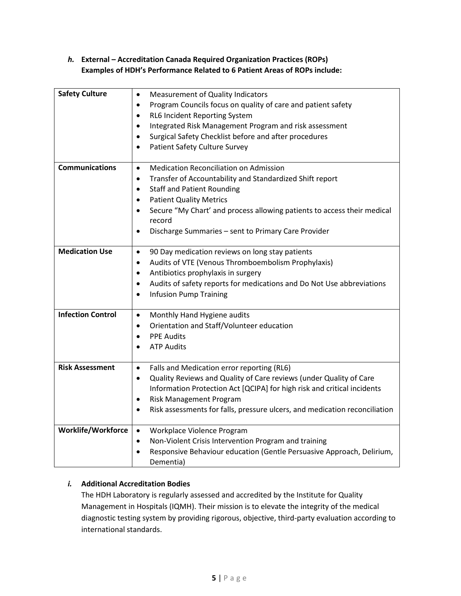# *h.* **External – Accreditation Canada Required Organization Practices (ROPs) Examples of HDH's Performance Related to 6 Patient Areas of ROPs include:**

| <b>Safety Culture</b>    | Measurement of Quality Indicators<br>$\bullet$<br>Program Councils focus on quality of care and patient safety<br>$\bullet$<br>RL6 Incident Reporting System<br>$\bullet$<br>Integrated Risk Management Program and risk assessment<br>$\bullet$<br>Surgical Safety Checklist before and after procedures<br>$\bullet$<br>Patient Safety Culture Survey<br>$\bullet$                                       |
|--------------------------|------------------------------------------------------------------------------------------------------------------------------------------------------------------------------------------------------------------------------------------------------------------------------------------------------------------------------------------------------------------------------------------------------------|
| <b>Communications</b>    | <b>Medication Reconciliation on Admission</b><br>$\bullet$<br>Transfer of Accountability and Standardized Shift report<br>$\bullet$<br><b>Staff and Patient Rounding</b><br>$\bullet$<br><b>Patient Quality Metrics</b><br>$\bullet$<br>Secure "My Chart' and process allowing patients to access their medical<br>$\bullet$<br>record<br>Discharge Summaries - sent to Primary Care Provider<br>$\bullet$ |
| <b>Medication Use</b>    | 90 Day medication reviews on long stay patients<br>$\bullet$<br>Audits of VTE (Venous Thromboembolism Prophylaxis)<br>$\bullet$<br>Antibiotics prophylaxis in surgery<br>$\bullet$<br>Audits of safety reports for medications and Do Not Use abbreviations<br>$\bullet$<br><b>Infusion Pump Training</b><br>$\bullet$                                                                                     |
| <b>Infection Control</b> | Monthly Hand Hygiene audits<br>$\bullet$<br>Orientation and Staff/Volunteer education<br>$\bullet$<br><b>PPE Audits</b><br>$\bullet$<br><b>ATP Audits</b><br>$\bullet$                                                                                                                                                                                                                                     |
| <b>Risk Assessment</b>   | Falls and Medication error reporting (RL6)<br>$\bullet$<br>Quality Reviews and Quality of Care reviews (under Quality of Care<br>$\bullet$<br>Information Protection Act [QCIPA] for high risk and critical incidents<br><b>Risk Management Program</b><br>$\bullet$<br>Risk assessments for falls, pressure ulcers, and medication reconciliation<br>$\bullet$                                            |
| Worklife/Workforce       | Workplace Violence Program<br>$\bullet$<br>Non-Violent Crisis Intervention Program and training<br>$\bullet$<br>Responsive Behaviour education (Gentle Persuasive Approach, Delirium,<br>$\bullet$<br>Dementia)                                                                                                                                                                                            |

# *i.* **Additional Accreditation Bodies**

The HDH Laboratory is regularly assessed and accredited by the Institute for Quality Management in Hospitals (IQMH). Their mission is to elevate the integrity of the medical diagnostic testing system by providing rigorous, objective, third-party evaluation according to international standards.